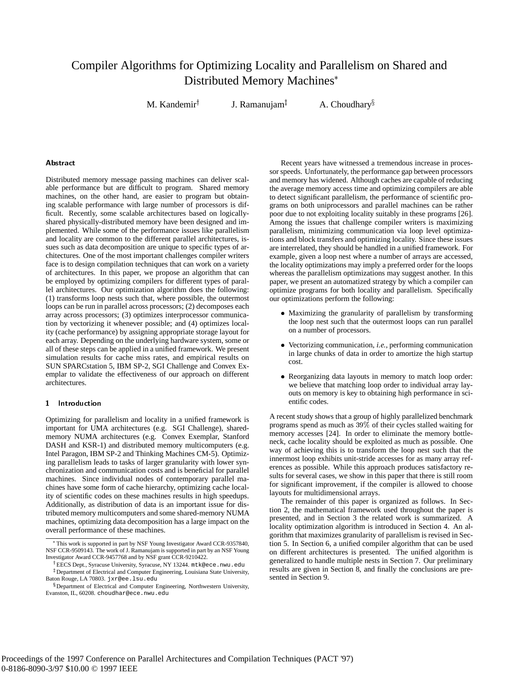# Compiler Algorithms for Optimizing Locality and Parallelism on Shared and Distributed Memory Machines

 $M.$  Kandemir<sup>†</sup>

J. Ramanujam $^{\ddagger}$ 

A. Choudhary $\frac{8}{3}$ 

# Abstract

Distributed memory message passing machines can deliver scalable performance but are difficult to program. Shared memory machines, on the other hand, are easier to program but obtaining scalable performance with large number of processors is difficult. Recently, some scalable architectures based on logicallyshared physically-distributed memory have been designed and implemented. While some of the performance issues like parallelism and locality are common to the different parallel architectures, issues such as data decomposition are unique to specific types of architectures. One of the most important challenges compiler writers face is to design compilation techniques that can work on a variety of architectures. In this paper, we propose an algorithm that can be employed by optimizing compilers for different types of parallel architectures. Our optimization algorithm does the following: (1) transforms loop nests such that, where possible, the outermost loops can be run in parallel across processors; (2) decomposes each array across processors; (3) optimizes interprocessor communication by vectorizing it whenever possible; and (4) optimizes locality (cache performance) by assigning appropriate storage layout for each array. Depending on the underlying hardware system, some or all of these steps can be applied in a unified framework. We present simulation results for cache miss rates, and empirical results on SUN SPARCstation 5, IBM SP-2, SGI Challenge and Convex Exemplar to validate the effectiveness of our approach on different architectures.

# 1 Introduction

Optimizing for parallelism and locality in a unified framework is important for UMA architectures (e.g. SGI Challenge), sharedmemory NUMA architectures (e.g. Convex Exemplar, Stanford DASH and KSR-1) and distributed memory multicomputers (e.g. Intel Paragon, IBM SP-2 and Thinking Machines CM-5). Optimizing parallelism leads to tasks of larger granularity with lower synchronization and communication costs and is beneficial for parallel machines. Since individual nodes of contemporary parallel machines have some form of cache hierarchy, optimizing cache locality of scientific codes on these machines results in high speedups. Additionally, as distribution of data is an important issue for distributed memory multicomputers and some shared-memory NUMA machines, optimizing data decomposition has a large impact on the overall performance of these machines.

Recent years have witnessed a tremendous increase in processor speeds. Unfortunately, the performance gap between processors and memory has widened. Although caches are capable of reducing the average memory access time and optimizing compilers are able to detect significant parallelism, the performance of scientific programs on both uniprocessors and parallel machines can be rather poor due to not exploiting locality suitably in these programs [26]. Among the issues that challenge compiler writers is maximizing parallelism, minimizing communication via loop level optimizations and block transfers and optimizing locality. Since these issues are interrelated, they should be handled in a unified framework. For example, given a loop nest where a number of arrays are accessed, the locality optimizations may imply a preferred order for the loops whereas the parallelism optimizations may suggest another. In this paper, we present an automatized strategy by which a compiler can optimize programs for both locality and parallelism. Specifically our optimizations perform the following:

- Maximizing the granularity of parallelism by transforming the loop nest such that the outermost loops can run parallel on a number of processors.
- Vectorizing communication, *i.e.,* performing communication in large chunks of data in order to amortize the high startup cost.
- Reorganizing data layouts in memory to match loop order: we believe that matching loop order to individual array layouts on memory is key to obtaining high performance in scientific codes.

A recent study shows that a group of highly parallelized benchmark programs spend as much as 39% of their cycles stalled waiting for memory accesses [24]. In order to eliminate the memory bottleneck, cache locality should be exploited as much as possible. One way of achieving this is to transform the loop nest such that the innermost loop exhibits unit-stride accesses for as many array references as possible. While this approach produces satisfactory results for several cases, we show in this paper that there is still room for significant improvement, if the compiler is allowed to choose layouts for multidimensional arrays.

The remainder of this paper is organized as follows. In Section 2, the mathematical framework used throughout the paper is presented, and in Section 3 the related work is summarized. A locality optimization algorithm is introduced in Section 4. An algorithm that maximizes granularity of parallelism is revised in Section 5. In Section 6, a unified compiler algorithm that can be used on different architectures is presented. The unified algorithm is generalized to handle multiple nests in Section 7. Our preliminary results are given in Section 8, and finally the conclusions are presented in Section 9.

This work is supported in part by NSF Young Investigator Award CCR-9357840, NSF CCR-9509143. The work of J. Ramanujam is supported in part by an NSF Young Investigator Award CCR-9457768 and by NSF grant CCR-9210422.

<sup>&</sup>lt;sup>†</sup> EECS Dept., Syracuse University, Syracuse, NY 13244. mtk@ece.nwu.edu

<sup>&</sup>lt;sup>‡</sup> Department of Electrical and Computer Engineering, Louisiana State University, Baton Rouge, LA 70803. jxr@ee.lsu.edu

<sup>&</sup>lt;sup>§</sup> Department of Electrical and Computer Engineering, Northwestern University, Evanston, IL, 60208. choudhar@ece.nwu.edu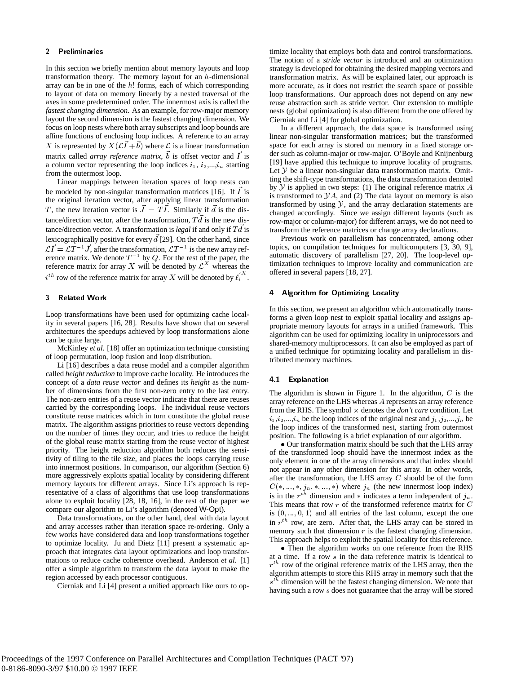### $2<sup>1</sup>$ **Preliminaries**

In this section we briefly mention about memory layouts and loop transformation theory. The memory layout for an  $h$ -dimensional array can be in one of the  $h$ ! forms, each of which corresponding to layout of data on memory linearly by a nested traversal of the axes in some predetermined order. The innermost axis is called the *fastest changing dimension*. As an example, for row-major memory layout the second dimension is the fastest changing dimension. We focus on loop nests where both array subscripts and loop bounds are affine functions of enclosing loop indices. A reference to an array X is represented by  $X(L\vec{I} + b)$  where L is a linear transformation matrix called *array reference matrix*,  $\overline{b}$  is offset vector and  $\overline{I}$  is a column vector representing the loop indices  $i_1, i_2, \ldots, i_n$  starting from the outermost loop.

Linear mappings between iteration spaces of loop nests can be modeled by non-singular transformation matrices [16]. If  $\overline{I}$  is the original iteration vector, after applying linear transformation T, the new iteration vector is  $J = TI$ . Similarly if d is the distance/direction vector, after the transformation,  $T \vec{d}$  is the new distance/direction vector. A transformation is *legal* if and only if  $T \vec{d}$  is lexicographically positive for every  $d[29]$ . On the other hand, since  $\mathcal{L}I = \mathcal{L}T^{-1}J$ , after the transformation,  $\mathcal{L}T^{-1}$  is the new array reference matrix. We denote  $T^{-1}$  by Q. For the rest of the paper, the reference matrix for array X will be denoted by  $\mathcal{L}^X$  whereas the  $i^{th}$  row of the reference matrix for array X will be denoted by  $\ell_i$ .

#### 3 **Related Work**

Loop transformations have been used for optimizing cache locality in several papers [16, 28]. Results have shown that on several architectures the speedups achieved by loop transformations alone can be quite large.

McKinley *et al.* [18] offer an optimization technique consisting of loop permutation, loop fusion and loop distribution.

Li [16] describes a data reuse model and a compiler algorithm called *height reduction* to improve cache locality. He introduces the concept of a *data reuse vector* and defines its *height* as the number of dimensions from the first non-zero entry to the last entry. The non-zero entries of a reuse vector indicate that there are reuses carried by the corresponding loops. The individual reuse vectors constitute reuse matrices which in turn constitute the global reuse matrix. The algorithm assigns priorities to reuse vectors depending on the number of times they occur, and tries to reduce the height of the global reuse matrix starting from the reuse vector of highest priority. The height reduction algorithm both reduces the sensitivity of tiling to the tile size, and places the loops carrying reuse into innermost positions. In comparison, our algorithm (Section 6) more aggressively exploits spatial locality by considering different memory layouts for different arrays. Since Li's approach is representative of a class of algorithms that use loop transformations alone to exploit locality [28, 18, 16], in the rest of the paper we compare our algorithm to Li's algorithm (denoted W-Opt).

Data transformations, on the other hand, deal with data layout and array accesses rather than iteration space re-ordering. Only a few works have considered data and loop transformations together to optimize locality. Ju and Dietz [11] present a systematic approach that integrates data layout optimizations and loop transformations to reduce cache coherence overhead. Anderson *et al.* [1] offer a simple algorithm to transform the data layout to make the region accessed by each processor contiguous.

Cierniak and Li [4] present a unified approach like ours to op-

timize locality that employs both data and control transformations. The notion of a *stride vector* is introduced and an optimization strategy is developed for obtaining the desired mapping vectors and transformation matrix. As will be explained later, our approach is more accurate, as it does not restrict the search space of possible loop transformations. Our approach does not depend on any new reuse abstraction such as stride vector. Our extension to multiple nests (global optimization) is also different from the one offered by Cierniak and Li [4] for global optimization.

In a different approach, the data space is transformed using linear non-singular transformation matrices; but the transformed space for each array is stored on memory in a fixed storage order such as column-major or row-major. O'Boyle and Knijnenburg [19] have applied this technique to improve locality of programs. Let  $Y$  be a linear non-singular data transformation matrix. Omitting the shift-type transformations, the data transformation denoted by  $Y$  is applied in two steps: (1) The original reference matrix  $A$ is transformed to  $\mathcal{Y}A$ , and (2) The data layout on memory is also transformed by using  $Y$ , and the array declaration statements are changed accordingly. Since we assign different layouts (such as row-major or column-major) for different arrays, we do not need to transform the reference matrices or change array declarations.

Previous work on parallelism has concentrated, among other topics, on compilation techniques for multicomputers [3, 30, 9], automatic discovery of parallelism [27, 20]. The loop-level optimization techniques to improve locality and communication are offered in several papers [18, 27].

#### $\overline{4}$ 4 Algorithm for Optimizing Locality

In this section, we present an algorithm which automatically transforms a given loop nest to exploit spatial locality and assigns appropriate memory layouts for arrays in a unified framework. This algorithm can be used for optimizing locality in uniprocessors and shared-memory multiprocessors. It can also be employed as part of a unified technique for optimizing locality and parallelism in distributed memory machines.

# 4.1 Explanation

The algorithm is shown in Figure 1. In the algorithm,  $C$  is the array reference on the LHS whereas <sup>A</sup> represents an array reference from the RHS. The symbol  $\times$  denotes the *don't care* condition. Let  $i_1, i_2, \ldots, i_n$  be the loop indices of the original nest and  $j_1, j_2, \ldots, j_n$  be the loop indices of the transformed nest, starting from outermost position. The following is a brief explanation of our algorithm.

 Our transformation matrix should be such that the LHS array of the transformed loop should have the innermost index as the only element in one of the array dimensions and that index should not appear in any other dimension for this array. In other words, after the transformation, the LHS array  $C$  should be of the form  $C(*, \ldots, *, j_n, *, \ldots, *)$  where  $j_n$  (the new innermost loop index) is in the  $r^{th}$  dimension and  $*$  indicates a term independent of  $j_n$ . This means that row <sup>r</sup> of the transformed reference matrix for <sup>C</sup> is  $(0, \ldots, 0, 1)$  and all entries of the last column, except the one in  $r^{th}$  row, are zero. After that, the LHS array can be stored in memory such that dimension  $r$  is the fastest changing dimension. This approach helps to exploit the spatial locality for this reference.

 Then the algorithm works on one reference from the RHS at a time. If a row <sup>s</sup> in the data reference matrix is identical to  $r^{th}$  row of the original reference matrix of the LHS array, then the algorithm attempts to store this RHS array in memory such that the  $s<sup>th</sup>$  dimension will be the fastest changing dimension. We note that having such a row <sup>s</sup> does not guarantee that the array will be stored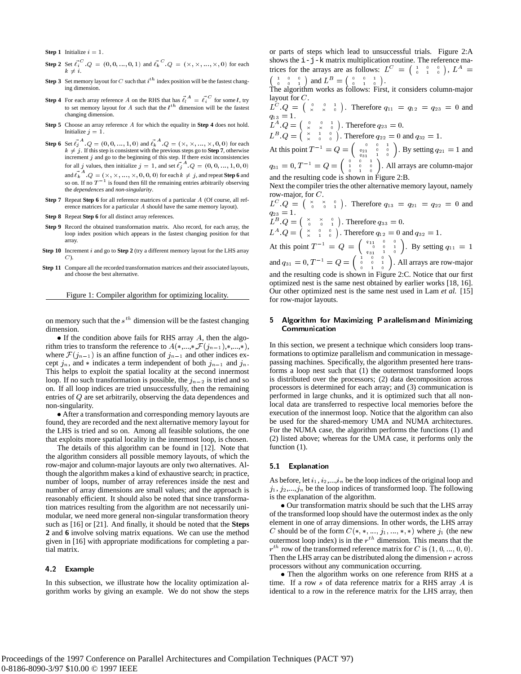- **Step 1** Initialize  $i = 1$ .
- **Step 2** Set  $\ell_i^{\circ}$   $Q = (0, 0, \ldots, 0, 1)$  and  $\ell_k^{\circ}$   $Q = (\times, \times, \ldots, \times, 0)$  for each  $k \neq i$ .
- **Step 3** Set memory layout for C such that  $i^{th}$  index position will be the fastest changing dimension.
- **Step 4** For each array reference A on the RHS that has  $\ell_i^{\alpha} = \ell_i^{\alpha}$  for some l, try to set memory layout for A such that the  $l^{th}$  dimension will be the fastest changing dimension.
- **Step 5** Choose an array reference A for which the equality in **Step 4** does not hold. Initialize  $j = 1$ .
- **Step 6** Set  $\ell_i^A$ ,  $Q = (0, 0, ..., 1, 0)$  and  $\ell_k^A$ ,  $Q = (x, x, ..., x, 0, 0)$  for each  $k \neq j$ . If this step is consistent with the previous steps go to **Step 7**, otherwise increment  $j$  and go to the beginning of this step. If there exist inconsistencies for all j values, then initialize  $j = 1$ , and set  $\ell_j^A$ .  $Q = (0, 0, ..., 1, 0, 0)$ and  $\ell_k^A$  .  $Q = (\times, \times, ..., \times, 0, 0, 0)$  for each  $k \neq j$ , and repeat **Step 6** and so on. If no  $T^{-1}$  is found then fill the remaining entries arbitrarily observing the *dependences* and *non-singularity*.
- **Step 7** Repeat **Step 6** for all reference matrices of a particular <sup>A</sup> (Of course, all reference matrices for a particular A should have the same memory layout).
- **Step 8** Repeat **Step 6** for all distinct array references.
- **Step 9** Record the obtained transformation matrix. Also record, for each array, the loop index position which appears in the fastest changing position for that array.
- **Step 10** Increment i and go to **Step 2** (try a different memory layout for the LHS array  $C$ ).
- **Step 11** Compare all the recorded transformation matrices and their associated layouts, and choose the best alternative.

Figure 1: Compiler algorithm for optimizing locality.

on memory such that the  $s^{th}$  dimension will be the fastest changing dimension.

 $\bullet$  If the condition above fails for RHS array  $A$ , then the algorithm tries to transform the reference to  $A(*,...,*,\mathcal{F}(j_{n-1}),*,...,*)$ , where  $\mathcal{F}(j_{n-1})$  is an affine function of  $j_{n-1}$  and other indices except  $j_n$ , and  $*$  indicates a term independent of both  $j_{n-1}$  and  $j_n$ . This helps to exploit the spatial locality at the second innermost loop. If no such transformation is possible, the  $j_{n-2}$  is tried and so on. If all loop indices are tried unsuccessfully, then the remaining entries of <sup>Q</sup> are set arbitrarily, observing the data dependences and non-singularity.

 After a transformation and corresponding memory layouts are found, they are recorded and the next alternative memory layout for the LHS is tried and so on. Among all feasible solutions, the one that exploits more spatial locality in the innermost loop, is chosen.

The details of this algorithm can be found in [12]. Note that the algorithm considers all possible memory layouts, of which the row-major and column-major layouts are only two alternatives. Although the algorithm makes a kind of exhaustive search; in practice, number of loops, number of array references inside the nest and number of array dimensions are small values; and the approach is reasonably efficient. It should also be noted that since transformation matrices resulting from the algorithm are not necessarily unimodular, we need more general non-singular transformation theory such as [16] or [21]. And finally, it should be noted that the **Steps 2** and **6** involve solving matrix equations. We can use the method given in [16] with appropriate modifications for completing a partial matrix.

### 4.2 **Example**

In this subsection, we illustrate how the locality optimization algorithm works by giving an example. We do not show the steps or parts of steps which lead to unsuccessful trials. Figure 2:A shows the  $i-j-k$  matrix multiplication routine. The reference matrices for the arrays are as follows:  $L^C = \begin{pmatrix} 1 & 0 & 0 \\ 0 & 1 & 0 \end{pmatrix}$ ,  $L^A =$  $\begin{pmatrix} 1 & 0 & 0 \\ 0 & 0 & 1 \end{pmatrix}$  and  $L^B = \begin{pmatrix} 0 & 0 & 1 \\ 0 & 1 & 0 \end{pmatrix}$ .

The algorithm works as follows: First, it considers column-major layout for <sup>C</sup>.

 $L \cdot Q = \left( \begin{array}{ccc} 0 & \times & \times & 0 \end{array} \right)$  $\begin{pmatrix} 0 & 0 & 1 \\ x & x & 0 \end{pmatrix}$ . Therefore  $q_{11} = q_{12} = q_{23} = 0$  and  $q_{13} = 1.$ 

 $L^A$   $Q = \begin{pmatrix} 0 & 0 & 1 \\ -\times & \times & 0 \end{pmatrix}$ . Therefore  $q_{23} = 0$ .

 $L^B$   $Q = \begin{pmatrix} \times & 1 & 0 \\ \times & 0 & 0 \end{pmatrix}$ . Therefore  $q_{22} = 0$  and  $q_{32} = 1$ .

At this point  $T^{-1} = Q = \begin{pmatrix} 0 & 0 & 1 \\ q_{21} & 0 & 0 \\ q_{31} & 1 & 0 \end{pmatrix}$ . By setting  $q_{21} = 1$  and  $q_{31} = 0, T^{-1} = Q = \begin{pmatrix} 0 & 0 & 1 \\ 1 & 0 & 0 \\ 0 & 1 & 0 \end{pmatrix}$ . All arrays are column-major

and the resulting code is shown in Figure 2:B. Next the compiler tries the other alternative memory layout, namely row-major, for <sup>C</sup>.

 $L^{C}.Q = \begin{pmatrix} \times & \times & 0 \\ 0 & 0 & 1 \end{pmatrix}$ . Therefore  $q_{13} = q_{21} = q_{22} = 0$  and  $q_{23} = 1.$ 

 $L^B$   $Q = \begin{pmatrix} \times & \times & 0 \\ 0 & 0 & 1 \end{pmatrix}$ . Therefore  $q_{33} = 0$ .

 $L^A$   $Q = \begin{pmatrix} \times & 0 & 0 \\ \times & 1 & 0 \end{pmatrix}$ . Therefore  $q_{12} = 0$  and  $q_{32} = 1$ .

At this point  $T^{-1} = Q = \begin{pmatrix} q_{11} & 0 & 0 \\ 0 & 0 & 1 \\ q_{31} & 1 & 0 \end{pmatrix}$ . By setting  $q_{11} = 1$ and  $q_{31} = 0, T^{-1} = Q = \begin{pmatrix} 1 & 0 & 0 \\ 0 & 0 & 1 \\ 0 & 1 & 0 \end{pmatrix}$ . All arrays are row-major and the resulting code is shown in Figure 2:C. Notice that our first optimized nest is the same nest obtained by earlier works [18, 16]. Our other optimized nest is the same nest used in Lam *et al.* [15] for row-major layouts.

### 5 Algorithm for Maximizing P arallelism and Minimizing Communication

In this section, we present a technique which considers loop transformations to optimize parallelism and communication in messagepassing machines. Specifically, the algorithm presented here transforms a loop nest such that (1) the outermost transformed loops is distributed over the processors; (2) data decomposition across processors is determined for each array; and (3) communication is performed in large chunks, and it is optimized such that all nonlocal data are transferred to respective local memories before the execution of the innermost loop. Notice that the algorithm can also be used for the shared-memory UMA and NUMA architectures. For the NUMA case, the algorithm performs the functions (1) and (2) listed above; whereas for the UMA case, it performs only the function  $(1)$ .

# 5.1 Explanation

As before, let  $i_1, i_2, \ldots, i_n$  be the loop indices of the original loop and  $j_1, j_2, \ldots, j_n$  be the loop indices of transformed loop. The following is the explanation of the algorithm.

 Our transformation matrix should be such that the LHS array of the transformed loop should have the outermost index as the only element in one of array dimensions. In other words, the LHS array C should be of the form  $C(*, *, ..., j_1, ..., *, *)$  where  $j_1$  (the new outermost loop index) is in the  $r^{th}$  dimension. This means that the  $r^{th}$  row of the transformed reference matrix for C is  $(1, 0, ..., 0, 0)$ . Then the LHS array can be distributed along the dimension  $r$  across processors without any communication occurring.

 Then the algorithm works on one reference from RHS at a time. If a row <sup>s</sup> of data reference matrix for a RHS array <sup>A</sup> is identical to a row in the reference matrix for the LHS array, then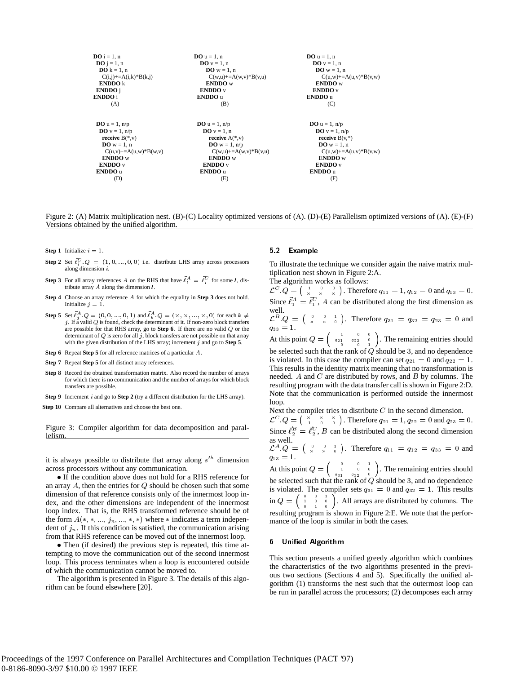

Figure 2: (A) Matrix multiplication nest. (B)-(C) Locality optimized versions of (A). (D)-(E) Parallelism optimized versions of (A). (E)-(F) Versions obtained by the unified algorithm.

**Step 1** Initialize  $i = 1$ .

- **Step 2** Set  $\ell_i^C$   $Q = (1, 0, ..., 0, 0)$  i.e. distribute LHS array across processors along dimension i.
- **Step 3** For all array references A on the RHS that have  $\ell_i^A = \ell_i^C$  for some l, distribute array  $A$  along the dimension  $l$ .
- **Step 4** Choose an array reference <sup>A</sup> for which the equality in **Step 3** does not hold. Initialize  $j = 1$ .
- **Step 5** Set  $\ell_1^A$ ,  $Q = (0, 0, ..., 0, 1)$  and  $\ell_1^A$ ,  $Q = (x, x, ..., x, 0)$  for each  $k \neq 0$  $j.$  If a valid  $\mathbb Q$  is found, check the determinant of it. If non-zero block transfers are possible for that RHS array, go to **Step 6**. If there are no valid <sup>Q</sup> or the determinant of  $Q$  is zero for all  $j$ , block transfers are not possible on that array with the given distribution of the LHS array; increment  $j$  and go to **Step 5**.
- **Step 6** Repeat **Step 5** for all reference matrices of a particular A.
- **Step 7** Repeat **Step 5** for all distinct array references.
- **Step 8** Record the obtained transformation matrix. Also record the number of arrays for which there is no communication and the number of arrays for which block transfers are possible.
- **Step 9** Increment i and go to **Step 2** (try a different distribution for the LHS array).
- **Step 10** Compare all alternatives and choose the best one.

Figure 3: Compiler algorithm for data decomposition and parallelism.

it is always possible to distribute that array along  $s^{th}$  dimension across processors without any communication.

 If the condition above does not hold for a RHS reference for an array  $A$ , then the entries for  $Q$  should be chosen such that some dimension of that reference consists only of the innermost loop index, and the other dimensions are independent of the innermost loop index. That is, the RHS transformed reference should be of the form  $A(*, *, ..., j_n, ..., *, *)$  where  $*$  indicates a term independent of  $j_n$ . If this condition is satisfied, the communication arising from that RHS reference can be moved out of the innermost loop.

 Then (if desired) the previous step is repeated, this time attempting to move the communication out of the second innermost loop. This process terminates when a loop is encountered outside of which the communication cannot be moved to.

The algorithm is presented in Figure 3. The details of this algorithm can be found elsewhere [20].

### 5.2 Example

To illustrate the technique we consider again the naive matrix multiplication nest shown in Figure 2:A.

The algorithm works as follows:

 $\mathcal{L}^C \ Q = \begin{pmatrix} 1 & 0 & 0 \\ \times & \times & \times \end{pmatrix}$ . Therefore ). Therefore  $q_{11} = 1, q_{12} = 0$  and  $q_{13} = 0$ . Since  $\ell_1^A = \ell_1^C$ , A can be distributed along the first dimension as well.

 $\mathcal{L}^{B}.Q = \begin{pmatrix} 0 & 0 & 1 \\ x & x & 0 \end{pmatrix}$ . Therefore  $q_{31} = q_{32} = q_{23} = 0$  and  $q_{33} = 1.$ 

At this point  $Q = \begin{pmatrix} 1 & 0 & 0 \\ 421 & 422 & 0 \\ 0 & 0 & 1 \end{pmatrix}$ . The remaining entries should be selected such that the rank of  $Q$  should be 3, and no dependence is violated. In this case the compiler can set  $q_{21} = 0$  and  $q_{22} = 1$ . This results in the identity matrix meaning that no transformation is needed.  $A$  and  $C$  are distributed by rows, and  $B$  by columns. The resulting program with the data transfer call is shown in Figure 2:D. Note that the communication is performed outside the innermost loop.

Next the compiler tries to distribute  $C$  in the second dimension.

 $\mathcal{L}^C$   $Q = \begin{pmatrix} \times & \times & \times \\ 1 & 0 & 0 \end{pmatrix}$ . Therefore  $q_{21} = 1, q_{22} = 0$  and  $q_{23} = 0$ . Since  $\ell_2^B = \ell_2^C$ , B can be distributed along the second dimension as well.

 $\mathcal{L}^A \cdot Q = \begin{pmatrix} 0 & 0 & 1 \\ 0 & 0 & 0 \\ 0 & 0 & 0 \end{pmatrix}$ . Therefore  $q_{11} = q_{12} = q_{33} = 0$  and  $q_{13} = 1.$ 

At this point  $Q = \left(\begin{array}{ccc} 0 & 0 & 1 \\ 1 & 0 & 0 \\ q_{31} & q_{32} & 0 \end{array}\right)$ . The remaining entries should be selected such that the rank of  $Q$  should be 3, and no dependence is violated. The compiler sets  $q_{31} = 0$  and  $q_{32} = 1$ . This results in  $Q = \begin{pmatrix} 0 & 0 & 1 \\ 1 & 0 & 0 \\ 0 & 1 & 0 \end{pmatrix}$ . All arrays are distributed by columns. The resulting program is shown in Figure 2:E. We note that the performance of the loop is similar in both the cases.

# 6 Unied Algorithm

This section presents a unified greedy algorithm which combines the characteristics of the two algorithms presented in the previous two sections (Sections 4 and 5). Specifically the unified algorithm (1) transforms the nest such that the outermost loop can be run in parallel across the processors; (2) decomposes each array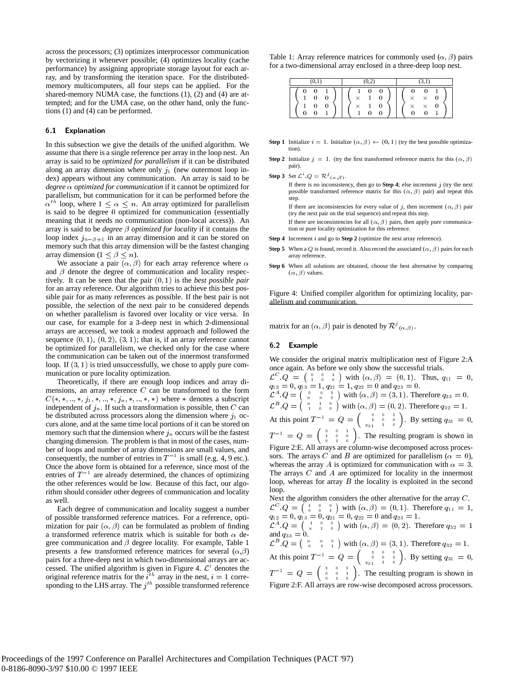across the processors; (3) optimizes interprocessor communication by vectorizing it whenever possible; (4) optimizes locality (cache performance) by assigning appropriate storage layout for each array, and by transforming the iteration space. For the distributedmemory multicomputers, all four steps can be applied. For the shared-memory NUMA case, the functions (1), (2) and (4) are attempted; and for the UMA case, on the other hand, only the functions (1) and (4) can be performed.

# 6.1 Explanation

In this subsection we give the details of the unified algorithm. We assume that there is a single reference per array in the loop nest. An array is said to be *optimized for parallelism* if it can be distributed along an array dimension where only  $j_1$  (new outermost loop index) appears without any communication. An array is said to be *degree optimized for communication* if it cannot be optimized for parallelism, but communication for it can be performed before the  $\alpha^{th}$  loop, where  $1 \leq \alpha \leq n$ . An array optimized for parallelism is said to be degree <sup>0</sup> optimized for communication (essentially meaning that it needs no communication (non-local access)). An array is said to be *degree*  $\beta$  *optimized for locality* if it contains the loop index  $j_{n-\beta+1}$  in an array dimension and it can be stored on memory such that this array dimension will be the fastest changing array dimension ( $1 \leq \beta \leq n$ ).

We associate a pair  $(\alpha, \beta)$  for each array reference where  $\alpha$ and  $\beta$  denote the degree of communication and locality respectively. It can be seen that the pair (0; 1) is the *best possible pair* for an array reference. Our algorithm tries to achieve this best possible pair for as many references as possible. If the best pair is not possible, the selection of the next pair to be considered depends on whether parallelism is favored over locality or vice versa. In our case, for example for a <sup>3</sup>-deep nest in which <sup>2</sup>-dimensional arrays are accessed, we took a modest approach and followed the sequence  $(0, 1)$ ,  $(0, 2)$ ,  $(3, 1)$ ; that is, if an array reference cannot be optimized for parallelism, we checked only for the case where the communication can be taken out of the innermost transformed loop. If  $(3, 1)$  is tried unsuccessfully, we chose to apply pure communication or pure locality optimization.

Theoretically, if there are enough loop indices and array dimensions, an array reference  $C$  can be transformed to the form  $C(*, *, ..., *, j_1, *, ..., *, j_n, *, ..., *, *)$  where  $*$  denotes a subscript independent of  $j_n$ . If such a transformation is possible, then  $C$  can be distributed across processors along the dimension where  $j_1$  occurs alone, and at the same time local portions of it can be stored on memory such that the dimension where  $j_n$  occurs will be the fastest changing dimension. The problem is that in most of the cases, number of loops and number of array dimensions are small values, and consequently, the number of entries in  $T^{-1}$  is small (e.g. 4, 9 etc.). Once the above form is obtained for a reference, since most of the entries of  $T^{-1}$  are already determined, the chances of optimizing the other references would be low. Because of this fact, our algorithm should consider other degrees of communication and locality as well.

Each degree of communication and locality suggest a number of possible transformed reference matrices. For a reference, optimization for pair  $(\alpha, \beta)$  can be formulated as problem of finding a transformed reference matrix which is suitable for both  $\alpha$  degree communication and  $\beta$  degree locality. For example, Table 1 presents a few transformed reference matrices for several  $(\alpha,\beta)$ pairs for a three-deep nest in which two-dimensional arrays are accessed. The unified algorithm is given in Figure 4.  $\mathcal{L}^i$  denotes the original reference matrix for the  $i^{th}$  array in the nest,  $i = 1$  corresponding to the LHS array. The  $j<sup>th</sup>$  possible transformed reference

Table 1: Array reference matrices for commonly used  $(\alpha, \beta)$  pairs for a two-dimensional array enclosed in a three-deep loop nest.

| 0<br>0 | ſ<br>$\times$<br>υ | 0<br>0 |
|--------|--------------------|--------|

- **Step 1** Initialize  $i = 1$ . Initialize  $(\alpha, \beta) \leftarrow (0, 1)$  (try the best possible optimization).
- **Step 2** Initialize  $j = 1$ . (try the first transformed reference matrix for this  $(\alpha, \beta)$ pair).

**Step 3** Set  $\mathcal{L}^i$   $Q = \mathcal{R}^j$  ( $\alpha, \beta$ ). If there is no inconsistency, then go to **Step 4**; else increment  $j$  (try the next possible transformed reference matrix for this  $(\alpha, \beta)$  pair) and repeat this step.

If there are inconsistencies for every value of j, then increment  $(\alpha, \beta)$  pair (try the next pair on the trial sequence) and repeat this step.

If there are inconsistencies for all  $(\alpha, \beta)$  pairs, then apply pure communication or pure locality optimization for this reference.

- **Step 4** Increment *i* and go to **Step 2** (optimize the next array reference).
- **Step 5** When a Q is found, record it. Also record the associated  $(\alpha, \beta)$  pairs for each array reference.
- **Step 6** When all solutions are obtained, choose the best alternative by comparing  $(\alpha, \beta)$  values.

Figure 4: Unified compiler algorithm for optimizing locality, parallelism and communication.

matrix for an  $(\alpha, \beta)$  pair is denoted by  $\mathcal{R}^{j}$  ( $_{\alpha, \beta}$ ).

# 6.2 Example

We consider the original matrix multiplication nest of Figure 2:A once again. As before we only show the successful trials.

 ${\cal L}^{C}.Q = \begin{pmatrix} 0 & 0 & 1 \\ 1 & 0 & 0 \end{pmatrix}$  with  $(\alpha, \beta) = (0, 1)$ . Thus,  $q_{11} = 0$ ,  $q_{12} = 0, q_{13} = 1, q_{21} = 1, q_{22} = 0$  and  $q_{23} = 0$ .

 $\mathcal{L}^A$ .  $Q = \begin{pmatrix} 0 & 0 & 1 \\ -\times & \times & 0 \end{pmatrix}$  with  $(\alpha, \beta) = (3, 1)$ . Therefore  $q_{33} = 0$ .  $\mathcal{L}^B$   $Q = \begin{pmatrix} \times & 1 & 0 \\ 1 & 0 & 0 \end{pmatrix}$  with  $(\alpha, \beta) = (0, 2)$ . Therefore  $q_{32} = 1$ .

At this point  $T^{-1} = Q = \begin{pmatrix} 0 & 0 & 1 \\ 0 & 0 & 0 \\ q_{31} & 1 & 0 \end{pmatrix}$ . By setting  $q_{31} = 0$ ,

 $T^{-1} = Q = \begin{pmatrix} 0 & 0 & 1 \\ 1 & 0 & 0 \\ 0 & 1 & 0 \end{pmatrix}$ . The resulting program is shown in Figure 2:E. All arrays are column-wise decomposed across processors. The arrays C and B are optimized for parallelism ( $\alpha = 0$ ), whereas the array A is optimized for communication with  $\alpha = 3$ . The arrays  $C$  and  $A$  are optimized for locality in the innermost loop, whereas for array  $B$  the locality is exploited in the second loop.

Next the algorithm considers the other alternative for the array <sup>C</sup>.  $\mathcal{L}^C$   $Q = \begin{pmatrix} 1 & 0 & 0 \\ 0 & 0 & 1 \end{pmatrix}$  with  $(\alpha, \beta) = (0, 1)$ . Therefore  $q_{11} = 1$ ,  $q_{12} = 0, q_{13} = 0, q_{21} = 0, q_{22} = 0$  and  $q_{23} = 1$ .  $\mathcal{L}^A \cdot Q = \begin{pmatrix} 1 & 0 & 0 \\ \times & 1 & 0 \end{pmatrix}$  with  $(\alpha, \beta) = (0, 2)$ . Therefore  $q_{32} = 1$ and  $q_{33} = 0$ .  $\mathcal{L}^B$   $Q = \begin{pmatrix} \times & \times & 0 \\ 0 & 0 & 1 \end{pmatrix}$  with  $(\alpha, \beta) = (3, 1)$ . Therefore  $q_{32} = 1$ .

At this point  $T^{-1} = Q = \begin{pmatrix} 1 & 0 & 0 \\ 0 & 0 & 1 \\ q_{31} & 1 & 0 \end{pmatrix}$ . By setting  $q_{31} = 0$ ,

 $T^{-1} = Q = \begin{pmatrix} 1 & 0 & 0 \\ 0 & 0 & 1 \\ 0 & 1 & 0 \end{pmatrix}$ . The resulting program is shown in Figure 2:F. All arrays are row-wise decomposed across processors.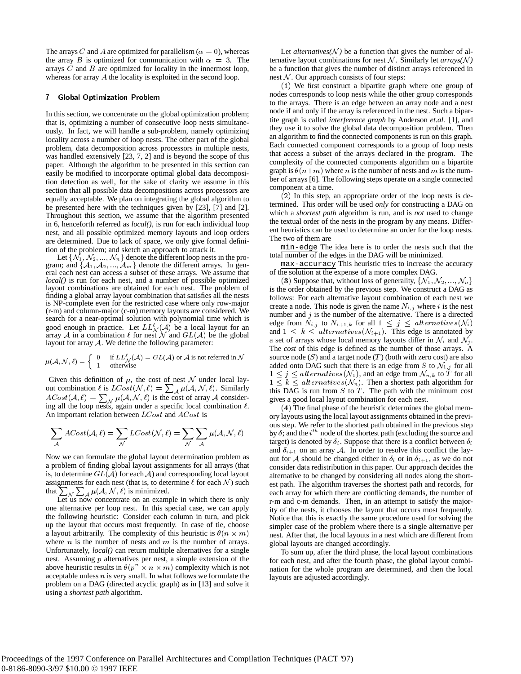The arrays C and A are optimized for parallelism ( $\alpha = 0$ ), whereas the array B is optimized for communication with  $\alpha = 3$ . The arrays  $C$  and  $B$  are optimized for locality in the innermost loop, whereas for array <sup>A</sup> the locality is exploited in the second loop.

### 7 Global Optimization Problem

In this section, we concentrate on the global optimization problem; that is, optimizing a number of consecutive loop nests simultaneously. In fact, we will handle a sub-problem, namely optimizing locality across a number of loop nests. The other part of the global problem, data decomposition across processors in multiple nests, was handled extensively [23, 7, 2] and is beyond the scope of this paper. Although the algorithm to be presented in this section can easily be modified to incorporate optimal global data decomposition detection as well, for the sake of clarity we assume in this section that all possible data decompositions across processors are equally acceptable. We plan on integrating the global algorithm to be presented here with the techniques given by [23], [7] and [2]. Throughout this section, we assume that the algorithm presented in 6, henceforth referred as *local()*, is run for each individual loop nest, and all possible optimized memory layouts and loop orders are determined. Due to lack of space, we only give formal definition of the problem; and sketch an approach to attack it.

Let  $\{N_1, N_2, ..., N_n\}$  denote the different loop nests in the program; and  $\{A_1, A_2, ..., A_m\}$  denote the different arrays. In general each nest can access a subset of these arrays. We assume that *local()* is run for each nest, and a number of possible optimized layout combinations are obtained for each nest. The problem of finding a global array layout combination that satisfies all the nests is NP-complete even for the restricted case where only row-major (r-m) and column-major (c-m) memory layouts are considered. We search for a near-optimal solution with polynomial time which is good enough in practice. Let  $LL_{\mathcal{N}}^{\ell}(\mathcal{A})$  be a local layout for an array A in a combination  $\ell$  for nest N and  $GL(\mathcal{A})$  be the global layout for array  $A$ . We define the following parameter:

$$
\mu(\mathcal{A}, \mathcal{N}, \ell) = \begin{cases} 0 & \text{if } LL_{\mathcal{N}}^{\ell}(\mathcal{A}) = GL(\mathcal{A}) \text{ or } \mathcal{A} \text{ is not referred in } \mathcal{N} \\ 1 & \text{otherwise} \end{cases}
$$

Given this definition of  $\mu$ , the cost of nest N under local layout combination  $\ell$  is  $LCost(\mathcal{N}, \ell) = \sum_{\mathcal{A}} \mu(\mathcal{A}, \mathcal{N}, \ell)$ . Similarly  $ACost(\mathcal{A}, \ell) = \sum_{\mathcal{N}} \mu(\mathcal{A}, \mathcal{N}, \ell)$  is the cost of array  $\mathcal A$  considering all the loop nests, again under a specific local combination  $\ell$ . An important relation between  $LCost$  and  $ACost$  is

$$
\sum_{\mathcal{A}} ACost(\mathcal{A}, \ell) = \sum_{\mathcal{N}} LCost(\mathcal{N}, \ell) = \sum_{\mathcal{N}} \sum_{\mathcal{A}} \mu(\mathcal{A}, \mathcal{N}, \ell) \quad \text{by } \delta;
$$

Now we can formulate the global layout determination problem as a problem of finding global layout assignments for all arrays (that is, to determine  $GL(\mathcal{A})$  for each  $\mathcal{A}$ ) and corresponding local layout assignments for each nest (that is, to determine  $\ell$  for each  $\mathcal N$ ) such that  $\sum_{\mathcal{N}} \sum_{\mathcal{A}} \mu(\mathcal{A}, \mathcal{N}, \ell)$  is minimized.

Let us now concentrate on an example in which there is only one alternative per loop nest. In this special case, we can apply the following heuristic: Consider each column in turn, and pick up the layout that occurs most frequently. In case of tie, choose a layout arbitrarily. The complexity of this heuristic is  $\theta(n \times m)$ where  $n$  is the number of nests and  $m$  is the number of arrays. Unfortunately, *local()* can return multiple alternatives for a single nest. Assuming <sup>p</sup> alternatives per nest, a simple extension of the above heuristic results in  $\theta(p^n \times n \times m)$  complexity which is not acceptable unless  $n$  is very small. In what follows we formulate the problem on a DAG (directed acyclic graph) as in [13] and solve it using a *shortest path* algorithm.

Let *alternatives(N)* be a function that gives the number of alternative layout combinations for nest  $N$ . Similarly let *arrays(N)* be a function that gives the number of distinct arrays referenced in nest  $N$ . Our approach consists of four steps:

(1) We first construct a bipartite graph where one group of nodes corresponds to loop nests while the other group corresponds to the arrays. There is an edge between an array node and a nest node if and only if the array is referenced in the nest. Such a bipartite graph is called *interference graph* by Anderson *et.al.* [1], and they use it to solve the global data decomposition problem. Then an algorithm to find the connected components is run on this graph. Each connected component corresponds to a group of loop nests that access a subset of the arrays declared in the program. The complexity of the connected components algorithm on a bipartite graph is  $\theta(n+m)$  where n is the number of nests and m is the number of arrays [6]. The following steps operate on a single connected component at a time.

(2) In this step, an appropriate order of the loop nests is determined. This order will be used *only* for constructing a DAG on which a *shortest path* algorithm is run, and is *not* used to change the textual order of the nests in the program by any means. Different heuristics can be used to determine an order for the loop nests. The two of them are

min-edge The idea here is to order the nests such that the total number of the edges in the DAG will be minimized.

max-accuracy This heuristic tries to increase the accuracy of the solution at the expense of a more complex DAG.

(3) Suppose that, without loss of generality,  $\{N_1, N_2, ..., N_n\}$ is the order obtained by the previous step. We construct a DAG as follows: For each alternative layout combination of each nest we create a node. This node is given the name  $N_{i,j}$  where i is the nest number and  $j$  is the number of the alternative. There is a directed edge from  $N_{i,j}$  to  $N_{i+1,k}$  for all  $1 \leq j \leq$  alternatives( $\mathcal{N}_i$ ) and  $1 \leq k \leq alternatives(\mathcal{N}_{i+1})$ . This edge is annotated by a set of arrays whose local memory layouts differ in  $\mathcal{N}_i$  and  $\mathcal{N}_j$ . The *cost* of this edge is defined as the number of those arrays. A source node  $(S)$  and a target node  $(T)$  (both with zero cost) are also added onto DAG such that there is an edge from S to  $\mathcal{N}_{1,j}$  for all  $1 \leq j \leq alternative(s(\mathcal{N}_1))$ , and an edge from  $\mathcal{N}_{n,k}$  to T for all  $1 \leq k \leq alternatives(\mathcal{N}_n)$ . Then a shortest path algorithm for this DAG is run from  $S$  to  $T$ . The path with the minimum cost gives a good local layout combination for each nest.

ous step. We refer to the shortest path obtained in the previous step  $\mu(\mathcal{A}, \mathcal{N}, \ell)$  by  $\delta$ ; and the  $i^{th}$  node of the shortest path (excluding the source and  $(m)$  nest. After that, the local layouts in a nest which are different from (4) The final phase of the heuristic determines the global memory layouts using the local layout assignments obtained in the previtarget) is denoted by  $\delta_i$ . Suppose that there is a conflict between  $\delta_i$ and  $\delta_{i+1}$  on an array A. In order to resolve this conflict the layout for A should be changed either in  $\delta_i$  or in  $\delta_{i+1}$ , as we do not consider data redistribution in this paper. Our approach decides the alternative to be changed by considering all nodes along the shortest path. The algorithm traverses the shortest path and records, for each array for which there are conflicting demands, the number of r-m and c-m demands. Then, in an attempt to satisfy the majority of the nests, it chooses the layout that occurs most frequently. Notice that this is exactly the same procedure used for solving the simpler case of the problem where there is a single alternative per global layouts are changed accordingly.

> To sum up, after the third phase, the local layout combinations for each nest, and after the fourth phase, the global layout combination for the whole program are determined, and then the local layouts are adjusted accordingly.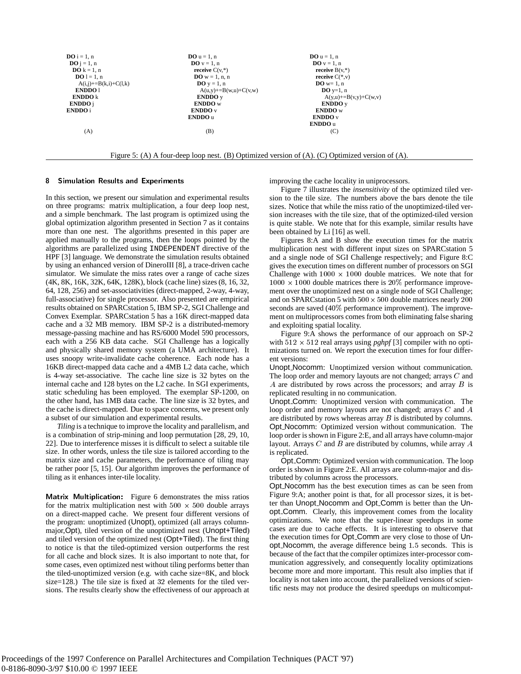

Figure 5: (A) A four-deep loop nest. (B) Optimized version of (A). (C) Optimized version of (A).

#### 8 8 Simulation Results and Experiments

In this section, we present our simulation and experimental results on three programs: matrix multiplication, a four deep loop nest, and a simple benchmark. The last program is optimized using the global optimization algorithm presented in Section 7 as it contains more than one nest. The algorithms presented in this paper are applied manually to the programs, then the loops pointed by the algorithms are parallelized using INDEPENDENT directive of the HPF [3] language. We demonstrate the simulation results obtained by using an enhanced version of DineroIII [8], a trace-driven cache simulator. We simulate the miss rates over a range of cache sizes (4K, 8K, 16K, 32K, 64K, 128K), block (cache line) sizes (8, 16, 32, 64, 128, 256) and set-associativities (direct-mapped, 2-way, 4-way, full-associative) for single processor. Also presented are empirical results obtained on SPARCstation 5, IBM SP-2, SGI Challenge and Convex Exemplar. SPARCstation 5 has a 16K direct-mapped data cache and a 32 MB memory. IBM SP-2 is a distributed-memory message-passing machine and has RS/6000 Model 590 processors, each with a 256 KB data cache. SGI Challenge has a logically and physically shared memory system (a UMA architecture). It uses snoopy write-invalidate cache coherence. Each node has a 16KB direct-mapped data cache and a 4MB L2 data cache, which is 4-way set-associative. The cache line size is 32 bytes on the internal cache and 128 bytes on the L2 cache. In SGI experiments, static scheduling has been employed. The exemplar SP-1200, on the other hand, has 1MB data cache. The line size is 32 bytes, and the cache is direct-mapped. Due to space concerns, we present only a subset of our simulation and experimental results.

*Tiling* is a technique to improve the locality and parallelism, and is a combination of strip-mining and loop permutation [28, 29, 10, 22]. Due to interference misses it is difficult to select a suitable tile size. In other words, unless the tile size is tailored according to the matrix size and cache parameters, the performance of tiling may be rather poor [5, 15]. Our algorithm improves the performance of tiling as it enhances inter-tile locality.

Matrix Multiplication: Figure 6 demonstrates the miss ratios for the matrix multiplication nest with  $500 \times 500$  double arrays on a direct-mapped cache. We present four different versions of the program: unoptimized (Unopt), optimized (all arrays columnmajor,Opt), tiled version of the unoptimized nest (Unopt+Tiled) and tiled version of the optimized nest (Opt+Tiled). The first thing to notice is that the tiled-optimized version outperforms the rest for all cache and block sizes. It is also important to note that, for some cases, even optimized nest without tiling performs better than the tiled-unoptimized version (e.g. with cache size=8K, and block size=128.) The tile size is fixed at <sup>32</sup> elements for the tiled versions. The results clearly show the effectiveness of our approach at improving the cache locality in uniprocessors.

Figure 7 illustrates the *insensitivity* of the optimized tiled version to the tile size. The numbers above the bars denote the tile sizes. Notice that while the miss ratio of the unoptimized-tiled version increases with the tile size, that of the optimized-tiled version is quite stable. We note that for this example, similar results have been obtained by Li [16] as well.

Figures 8:A and B show the execution times for the matrix multiplication nest with different input sizes on SPARCstation 5 and a single node of SGI Challenge respectively; and Figure 8:C gives the execution times on different number of processors on SGI Challenge with  $1000 \times 1000$  double matrices. We note that for  $1000 \times 1000$  double matrices there is 20% performance improvement over the unoptimized nest on a single node of SGI Challenge; and on SPARC station 5 with  $500 \times 500$  double matrices nearly 200 seconds are saved (40% performance improvement). The improvement on multiprocessors comes from both eliminating false sharing and exploiting spatial locality.

Figure 9:A shows the performance of our approach on SP-2 with  $512 \times 512$  real arrays using *pghpf* [3] compiler with no optimizations turned on. We report the execution times for four different versions:

Unopt Nocomm: Unoptimized version without communication. The loop order and memory layouts are not changed; arrays <sup>C</sup> and A are distributed by rows across the processors; and array  $B$  is replicated resulting in no communication.

Unopt Comm: Unoptimized version with communication. The loop order and memory layouts are not changed; arrays <sup>C</sup> and <sup>A</sup> are distributed by rows whereas array  $B$  is distributed by columns. Opt Nocomm: Optimized version without communication. The loop order is shown in Figure 2:E, and all arrays have column-major layout. Arrays  $C$  and  $B$  are distributed by columns, while array  $A$ is replicated.

Opt Comm: Optimized version with communication. The loop order is shown in Figure 2:E. All arrays are column-major and distributed by columns across the processors.

Opt Nocomm has the best execution times as can be seen from Figure 9:A; another point is that, for all processor sizes, it is better than Unopt Nocomm and Opt Comm is better than the Unopt Comm. Clearly, this improvement comes from the locality optimizations. We note that the super-linear speedups in some cases are due to cache effects. It is interesting to observe that the execution times for Opt Comm are very close to those of Unopt Nocomm, the average difference being 1:5 seconds. This is because of the fact that the compiler optimizes inter-processor communication aggressively, and consequently locality optimizations become more and more important. This result also implies that if locality is not taken into account, the parallelized versions of scientific nests may not produce the desired speedups on multicomput-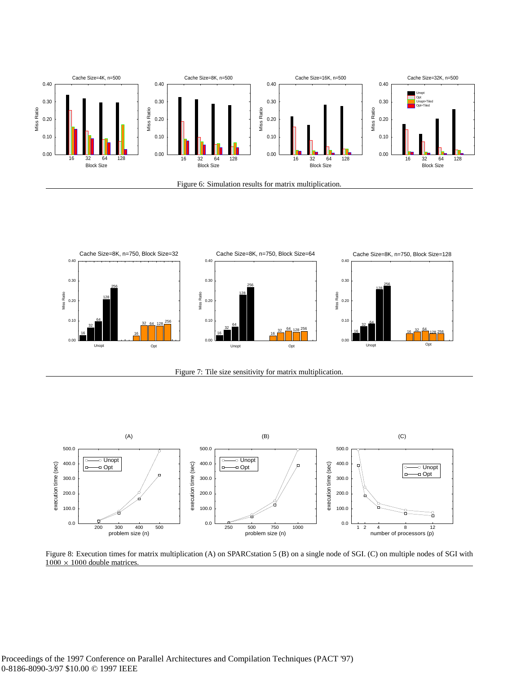



Figure 7: Tile size sensitivity for matrix multiplication.



Figure 8: Execution times for matrix multiplication (A) on SPARCstation 5 (B) on a single node of SGI. (C) on multiple nodes of SGI with  $1000 \times 1000$  double matrices.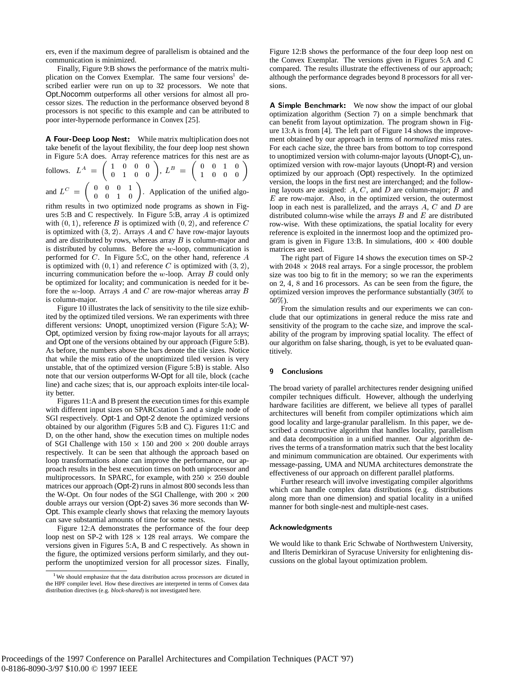ers, even if the maximum degree of parallelism is obtained and the communication is minimized.

Finally, Figure 9:B shows the performance of the matrix multiplication on the Convex Exemplar. The same four versions<sup>1</sup> described earlier were run on up to <sup>32</sup> processors. We note that Opt Nocomm outperforms all other versions for almost all processor sizes. The reduction in the performance observed beyond 8 processors is not specific to this example and can be attributed to poor inter-hypernode performance in Convex [25].

A Four-Deep Loop Nest: While matrix multiplication does not take benefit of the layout flexibility, the four deep loop nest shown in Figure 5:A does. Array reference matrices for this nest are as

follows. 
$$
L^A = \begin{pmatrix} 1 & 0 & 0 & 0 \\ 0 & 1 & 0 & 0 \end{pmatrix}
$$
,  $L^B = \begin{pmatrix} 0 & 0 & 1 & 0 \\ 1 & 0 & 0 & 0 \end{pmatrix}$ 

and  $L^C = \begin{pmatrix} 0 & 0 & 0 & 1 \\ 0 & 0 & 1 & 0 \end{pmatrix}$ . App  $\begin{pmatrix} 0 & 0 & 1 \\ 0 & 0 & 1 \end{pmatrix}$ . Application of the unified algo-

rithm results in two optimized node programs as shown in Figures 5:B and C respectively. In Figure 5:B, array <sup>A</sup> is optimized with  $(0, 1)$ , reference B is optimized with  $(0, 2)$ , and reference C is optimized with  $(3, 2)$ . Arrays A and C have row-major layouts and are distributed by rows, whereas array  $B$  is column-major and is distributed by columns. Before the  $w$ -loop, communication is performed for <sup>C</sup>. In Figure 5:C, on the other hand, reference <sup>A</sup> is optimized with  $(0, 1)$  and reference C is optimized with  $(3, 2)$ , incurring communication before the  $w$ -loop. Array  $B$  could only be optimized for locality; and communication is needed for it before the w-loop. Arrays  $A$  and  $C$  are row-major whereas array  $B$ is column-major.

Figure 10 illustrates the lack of sensitivity to the tile size exhibited by the optimized tiled versions. We ran experiments with three different versions: Unopt, unoptimized version (Figure 5:A); W-Opt, optimized version by fixing row-major layouts for all arrays; and Opt one of the versions obtained by our approach (Figure 5:B). As before, the numbers above the bars denote the tile sizes. Notice that while the miss ratio of the unoptimized tiled version is very unstable, that of the optimized version (Figure 5:B) is stable. Also note that our version outperforms W-Opt for all tile, block (cache line) and cache sizes; that is, our approach exploits inter-tile locality better.

Figures 11:A and B present the execution times for this example with different input sizes on SPARCstation 5 and a single node of SGI respectively. Opt-1 and Opt-2 denote the optimized versions obtained by our algorithm (Figures 5:B and C). Figures 11:C and D, on the other hand, show the execution times on multiple nodes of SGI Challenge with  $150 \times 150$  and  $200 \times 200$  double arrays respectively. It can be seen that although the approach based on loop transformations alone can improve the performance, our approach results in the best execution times on both uniprocessor and multiprocessors. In SPARC, for example, with  $250 \times 250$  double matrices our approach (Opt-2) runs in almost 800 seconds less than the W-Opt. On four nodes of the SGI Challenge, with  $200 \times 200$ double arrays our version (Opt-2) saves <sup>36</sup> more seconds than W-Opt. This example clearly shows that relaxing the memory layouts can save substantial amounts of time for some nests.

Figure 12:A demonstrates the performance of the four deep loop nest on SP-2 with  $128 \times 128$  real arrays. We compare the versions given in Figures 5:A, B and C respectively. As shown in the figure, the optimized versions perform similarly, and they outperform the unoptimized version for all processor sizes. Finally, Figure 12:B shows the performance of the four deep loop nest on the Convex Exemplar. The versions given in Figures 5:A and C compared. The results illustrate the effectiveness of our approach; although the performance degrades beyond 8 processors for all versions.

 $\begin{pmatrix} 0 & 0 & 1 & 0 \\ 1 & 0 & 0 & 0 \end{pmatrix}$  optimized by our approach (Opt) respectively. In the optimized A Simple Benchmark: We now show the impact of our global optimization algorithm (Section 7) on a simple benchmark that can benefit from layout optimization. The program shown in Figure 13:A is from [4]. The left part of Figure 14 shows the improvement obtained by our approach in terms of *normalized* miss rates. For each cache size, the three bars from bottom to top correspond to unoptimized version with column-major layouts (Unopt-C), unoptimized version with row-major layouts (Unopt-R) and version version, the loops in the first nest are interchanged; and the following layouts are assigned:  $A, C$ , and  $D$  are column-major;  $B$  and  $E$  are row-major. Also, in the optimized version, the outermost loop in each nest is parallelized, and the arrays <sup>A</sup>, <sup>C</sup> and <sup>D</sup> are distributed column-wise while the arrays  $B$  and  $E$  are distributed row-wise. With these optimizations, the spatial locality for every reference is exploited in the innermost loop and the optimized program is given in Figure 13:B. In simulations,  $400 \times 400$  double matrices are used.

> The right part of Figure 14 shows the execution times on SP-2 with  $2048 \times 2048$  real arrays. For a single processor, the problem size was too big to fit in the memory; so we ran the experiments on <sup>2</sup>, <sup>4</sup>, <sup>8</sup> and <sup>16</sup> processors. As can be seen from the figure, the optimized version improves the performance substantially (30% to 50%).

> From the simulation results and our experiments we can conclude that our optimizations in general reduce the miss rate and sensitivity of the program to the cache size, and improve the scalability of the program by improving spatial locality. The effect of our algorithm on false sharing, though, is yet to be evaluated quantitively.

#### $\mathbf{Q}$ Conclusions

The broad variety of parallel architectures render designing unified compiler techniques difficult. However, although the underlying hardware facilities are different, we believe all types of parallel architectures will benefit from compiler optimizations which aim good locality and large-granular parallelism. In this paper, we described a constructive algorithm that handles locality, parallelism and data decomposition in a unified manner. Our algorithm derives the terms of a transformation matrix such that the best locality and minimum communication are obtained. Our experiments with message-passing, UMA and NUMA architectures demonstrate the effectiveness of our approach on different parallel platforms.

Further research will involve investigating compiler algorithms which can handle complex data distributions (e.g. distributions along more than one dimension) and spatial locality in a unified manner for both single-nest and multiple-nest cases.

# Acknowledgments

We would like to thank Eric Schwabe of Northwestern University, and Ilteris Demirkiran of Syracuse University for enlightening discussions on the global layout optimization problem.

<sup>&</sup>lt;sup>1</sup>We should emphasize that the data distribution across processors are dictated in the HPF compiler level. How these directives are interpreted in terms of Convex data distribution directives (e.g. *block-shared*) is not investigated here.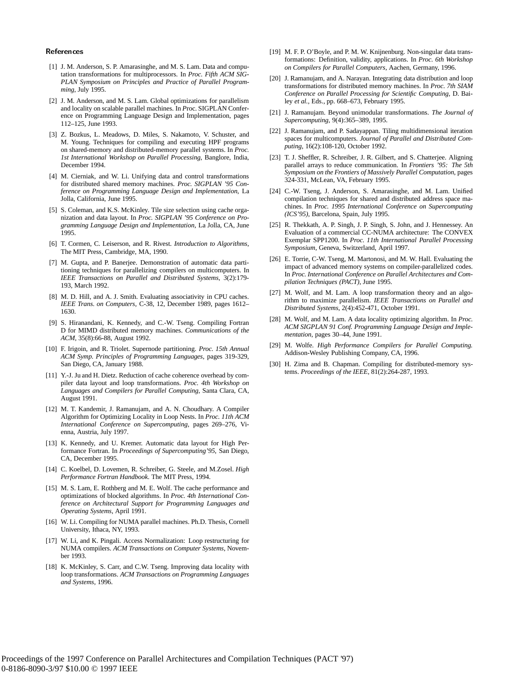### References

- [1] J. M. Anderson, S. P. Amarasinghe, and M. S. Lam. Data and computation transformations for multiprocessors. In *Proc. Fifth ACM SIG-PLAN Symposium on Principles and Practice of Parallel Programming*, July 1995.
- [2] J. M. Anderson, and M. S. Lam. Global optimizations for parallelism and locality on scalable parallel machines. In *P*roc. SIGPLAN Conference on Programming Language Design and Implementation, pages 112–125, June 1993.
- [3] Z. Bozkus, L. Meadows, D. Miles, S. Nakamoto, V. Schuster, and M. Young. Techniques for compiling and executing HPF programs on shared-memory and distributed-memory parallel systems. In *Proc. 1st International Workshop on Parallel Processing*, Banglore, India, December 1994.
- [4] M. Cierniak, and W. Li. Unifying data and control transformations for distributed shared memory machines. *Proc. SIGPLAN '95 Conference on Programming Language Design and Implementation*, La Jolla, California, June 1995.
- [5] S. Coleman, and K.S. McKinley. Tile size selection using cache organization and data layout. In *Proc. SIGPLAN '95 Conference on Programming Language Design and Implementation*, La Jolla, CA, June 1995.
- [6] T. Cormen, C. Leiserson, and R. Rivest. *Introduction to Algorithms*, The MIT Press, Cambridge, MA, 1990.
- [7] M. Gupta, and P. Banerjee. Demonstration of automatic data partitioning techniques for parallelizing compilers on multicomputers. In *IEEE Transactions on Parallel and Distributed Systems*, 3(2):179- 193, March 1992.
- [8] M. D. Hill, and A. J. Smith. Evaluating associativity in CPU caches. *IEEE Trans. on Computers*, C-38, 12, December 1989, pages 1612– 1630.
- [9] S. Hiranandani, K. Kennedy, and C.-W. Tseng. Compiling Fortran D for MIMD distributed memory machines. *Communications of the ACM*, 35(8):66-88, August 1992.
- [10] F. Irigoin, and R. Triolet. Supernode partitioning. *Proc. 15th Annual ACM Symp. Principles of Programming Languages*, pages 319-329, San Diego, CA, January 1988.
- [11] Y.-J. Ju and H. Dietz. Reduction of cache coherence overhead by compiler data layout and loop transformations. *Proc. 4th Workshop on Languages and Compilers for Parallel Computing*, Santa Clara, CA, August 1991.
- [12] M. T. Kandemir, J. Ramanujam, and A. N. Choudhary. A Compiler Algorithm for Optimizing Locality in Loop Nests. In *Proc. 11th ACM International Conference on Supercomputing*, pages 269–276, Vienna, Austria, July 1997.
- [13] K. Kennedy, and U. Kremer. Automatic data layout for High Performance Fortran. In *Proceedings of Supercomputing'95*, San Diego, CA, December 1995.
- [14] C. Koelbel, D. Lovemen, R. Schreiber, G. Steele, and M.Zosel. *High Performance Fortran Handbook*. The MIT Press, 1994.
- [15] M. S. Lam, E. Rothberg and M. E. Wolf. The cache performance and optimizations of blocked algorithms. In *Proc. 4th International Conference on Architectural Support for Programming Languages and Operating Systems*, April 1991.
- [16] W. Li. Compiling for NUMA parallel machines. Ph.D. Thesis, Cornell University, Ithaca, NY, 1993.
- [17] W. Li, and K. Pingali. Access Normalization: Loop restructuring for NUMA compilers. *ACM Transactions on Computer Systems*, November 1993.
- [18] K. McKinley, S. Carr, and C.W. Tseng. Improving data locality with loop transformations. *ACM Transactions on Programming Languages and Systems,* 1996.
- [19] M. F. P. O'Boyle, and P. M. W. Knijnenburg. Non-singular data transformations: Definition, validity, applications. In *Proc. 6th Workshop on Compilers for Parallel Computers*, Aachen, Germany, 1996.
- [20] J. Ramanujam, and A. Narayan. Integrating data distribution and loop transformations for distributed memory machines. In *Proc. 7th SIAM Conference on Parallel Processing for Scientific Computing,* D. Bailey *et al.,* Eds., pp. 668–673, February 1995.
- [21] J. Ramanujam. Beyond unimodular transformations. *The Journal of Supercomputing*, 9(4):365–389, 1995.
- [22] J. Ramanujam, and P. Sadayappan. Tiling multidimensional iteration spaces for multicomputers. *Journal of Parallel and Distributed Computing*, 16(2):108-120, October 1992.
- [23] T. J. Sheffler, R. Schreiber, J. R. Gilbert, and S. Chatterjee. Aligning parallel arrays to reduce communication. In *Frontiers '95: The 5th Symposium on the Frontiers of Massively Parallel Computation*, pages 324-331, McLean, VA, February 1995.
- [24] C.-W. Tseng, J. Anderson, S. Amarasinghe, and M. Lam. Unified compilation techniques for shared and distributed address space machines. In *Proc. 1995 International Conference on Supercomputing (ICS'95)*, Barcelona, Spain, July 1995.
- [25] R. Thekkath, A. P. Singh, J. P. Singh, S. John, and J. Hennessey. An Evaluation of a commercial CC-NUMA architecture: The CONVEX Exemplar SPP1200. In *Proc. 11th International Parallel Processing Symposium*, Geneva, Switzerland, April 1997.
- [26] E. Torrie, C-W. Tseng, M. Martonosi, and M. W. Hall. Evaluating the impact of advanced memory systems on compiler-parallelized codes. In *Proc. International Conference on Parallel Architectures and Compilation Techniques (PACT)*, June 1995.
- [27] M. Wolf, and M. Lam. A loop transformation theory and an algorithm to maximize parallelism. *IEEE Transactions on Parallel and Distributed Systems*, 2(4):452-471, October 1991.
- [28] M. Wolf, and M. Lam. A data locality optimizing algorithm. In *Proc. ACM SIGPLAN 91 Conf. Programming Language Design and Implementation*, pages 30–44, June 1991.
- [29] M. Wolfe. *High Performance Compilers for Parallel Computing.* Addison-Wesley Publishing Company, CA, 1996.
- [30] H. Zima and B. Chapman. Compiling for distributed-memory systems. *Proceedings of the IEEE*, 81(2):264-287, 1993.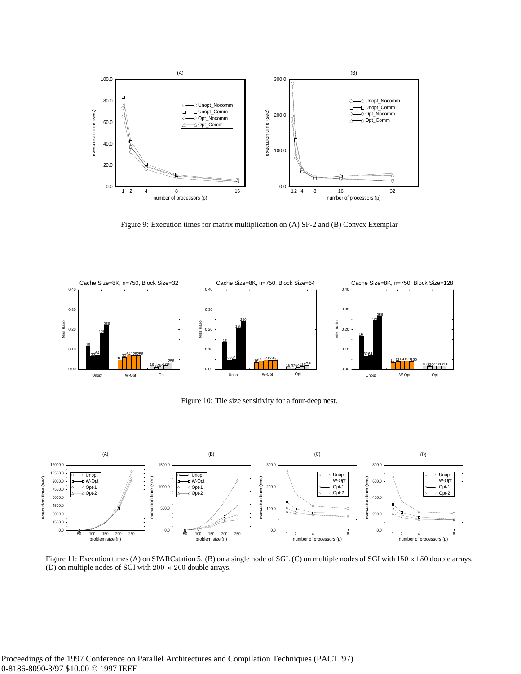

Figure 9: Execution times for matrix multiplication on (A) SP-2 and (B) Convex Exemplar



Figure 10: Tile size sensitivity for a four-deep nest.



Figure 11: Execution times (A) on SPARCstation 5. (B) on a single node of SGI. (C) on multiple nodes of SGI with  $150 \times 150$  double arrays. (D) on multiple nodes of SGI with  $200 \times 200$  double arrays.